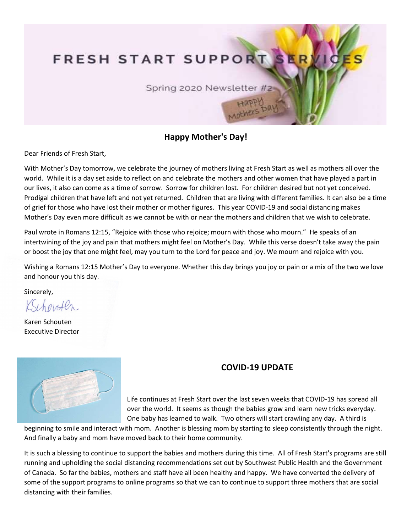## FRESH START SUPPORT

Spring 2020 Newsletter #2

## Happy Mother's Day!

Dear Friends of Fresh Start,

With Mother's Day tomorrow, we celebrate the journey of mothers living at Fresh Start as well as mothers all over the world. While it is a day set aside to reflect on and celebrate the mothers and other women that have played a part in our lives, it also can come as a time of sorrow. Sorrow for children lost. For children desired but not yet conceived. Prodigal children that have left and not yet returned. Children that are living with different families. It can also be a time of grief for those who have lost their mother or mother figures. This year COVID-19 and social distancing makes Mother's Day even more difficult as we cannot be with or near the mothers and children that we wish to celebrate.

Paul wrote in Romans 12:15, "Rejoice with those who rejoice; mourn with those who mourn." He speaks of an intertwining of the joy and pain that mothers might feel on Mother's Day. While this verse doesn't take away the pain or boost the joy that one might feel, may you turn to the Lord for peace and joy. We mourn and rejoice with you.

Wishing a Romans 12:15 Mother's Day to everyone. Whether this day brings you joy or pain or a mix of the two we love and honour you this day.

Sincerely,

Kehowten

Karen Schouten Executive Director



## COVID-19 UPDATE

Life continues at Fresh Start over the last seven weeks that COVID-19 has spread all over the world. It seems as though the babies grow and learn new tricks everyday. One baby has learned to walk. Two others will start crawling any day. A third is

beginning to smile and interact with mom. Another is blessing mom by starting to sleep consistently through the night. And finally a baby and mom have moved back to their home community.

It is such a blessing to continue to support the babies and mothers during this time. All of Fresh Start's programs are still running and upholding the social distancing recommendations set out by Southwest Public Health and the Government of Canada. So far the babies, mothers and staff have all been healthy and happy. We have converted the delivery of some of the support programs to online programs so that we can to continue to support three mothers that are social distancing with their families.